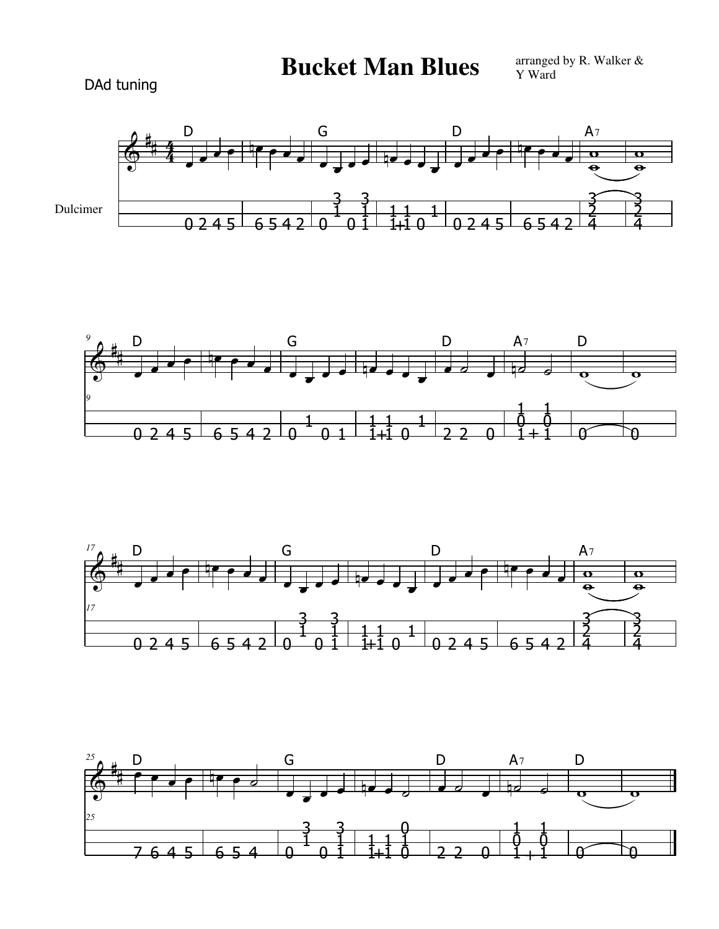## **Bucket Man Blues**

DAd tuning









arranged by R. Walker & Y Ward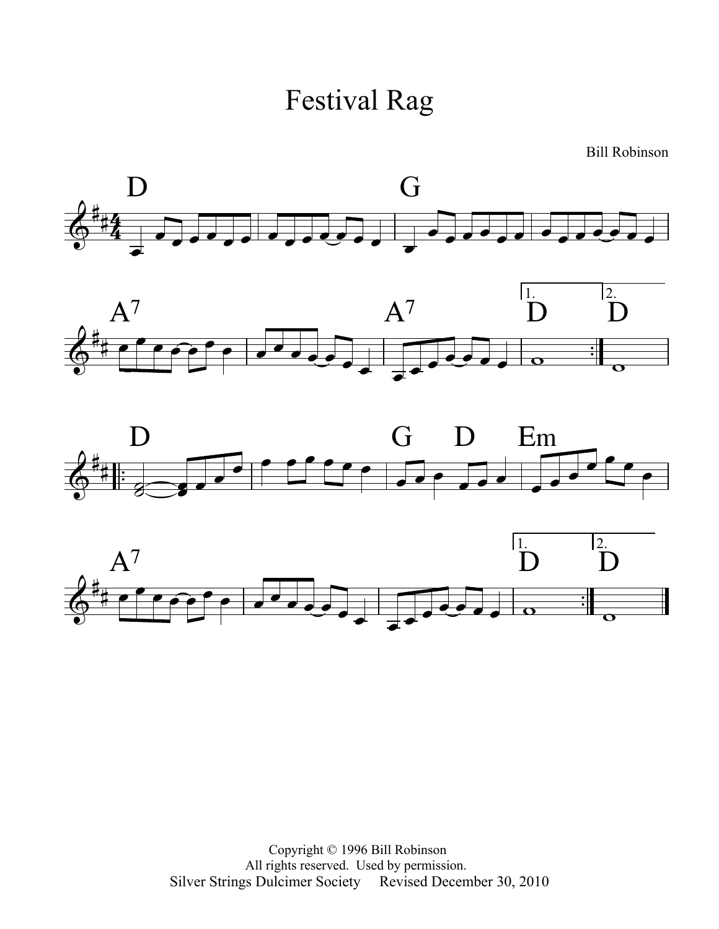

Bill Robinson









Copyright © 1996 Bill Robinson All rights reserved. Used by permission. Silver Strings Dulcimer Society Revised December 30, 2010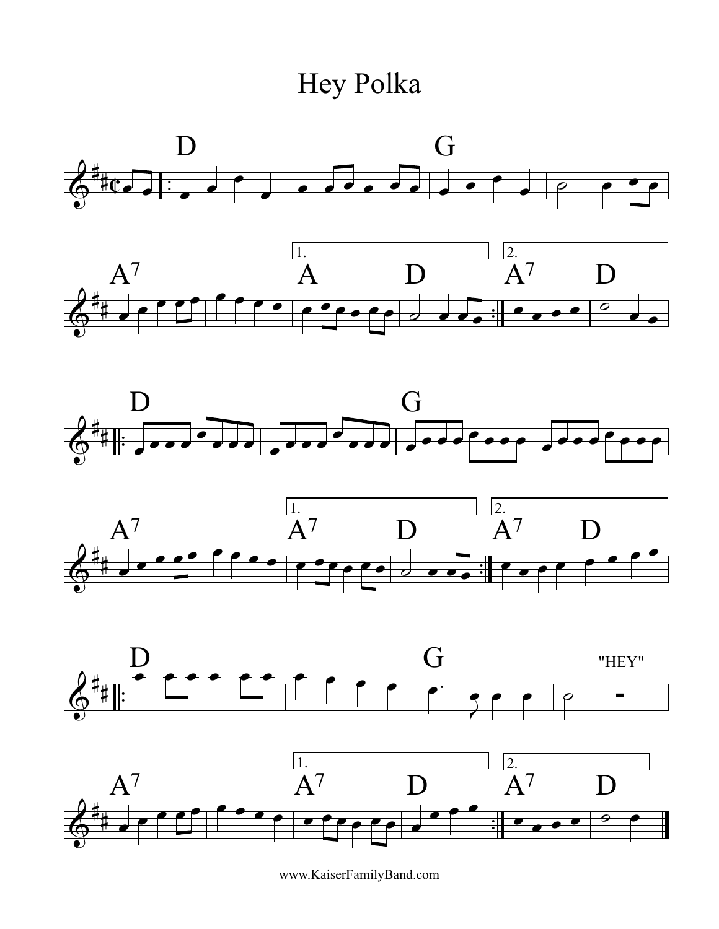Hey Polka











www.KaiserFamilyBand.com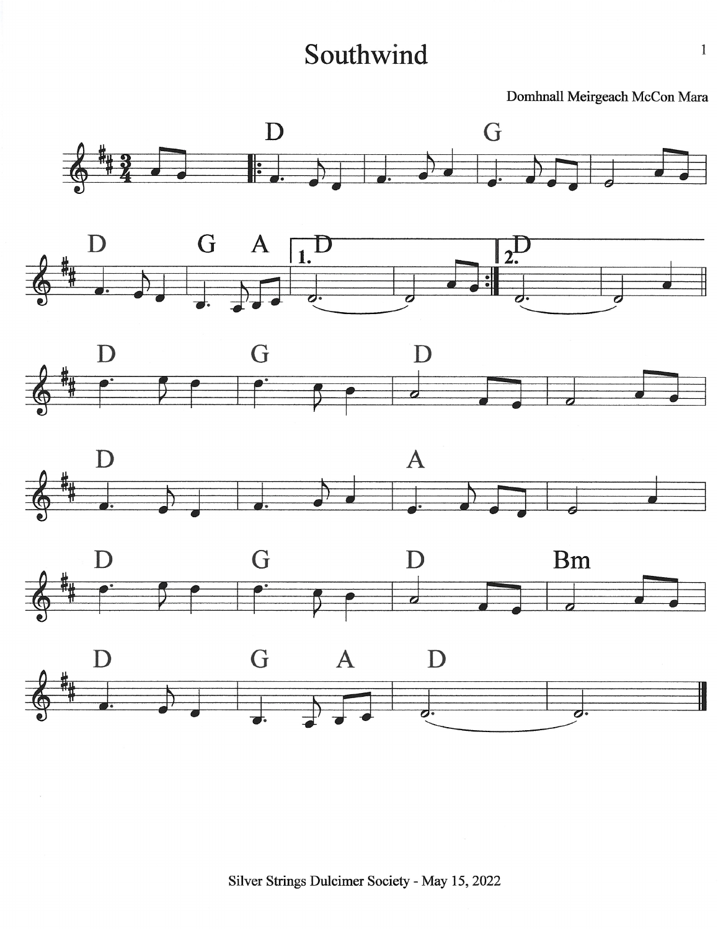## Southwind

Domhnall Meirgeach McCon Mara











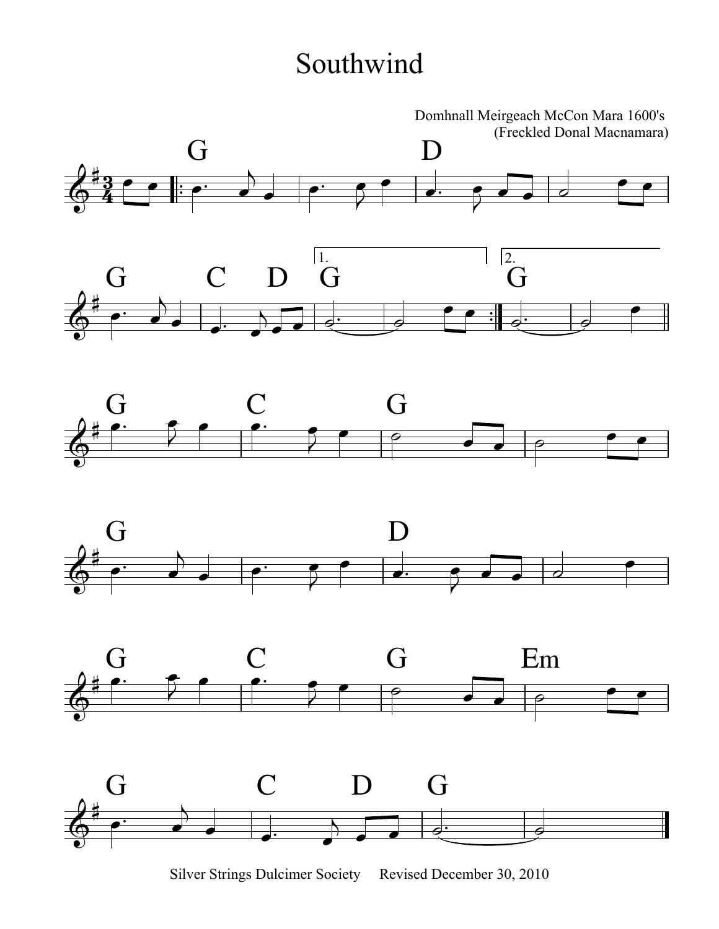## Southwind











Silver Strings Dulcimer Society Revised December 30, 2010